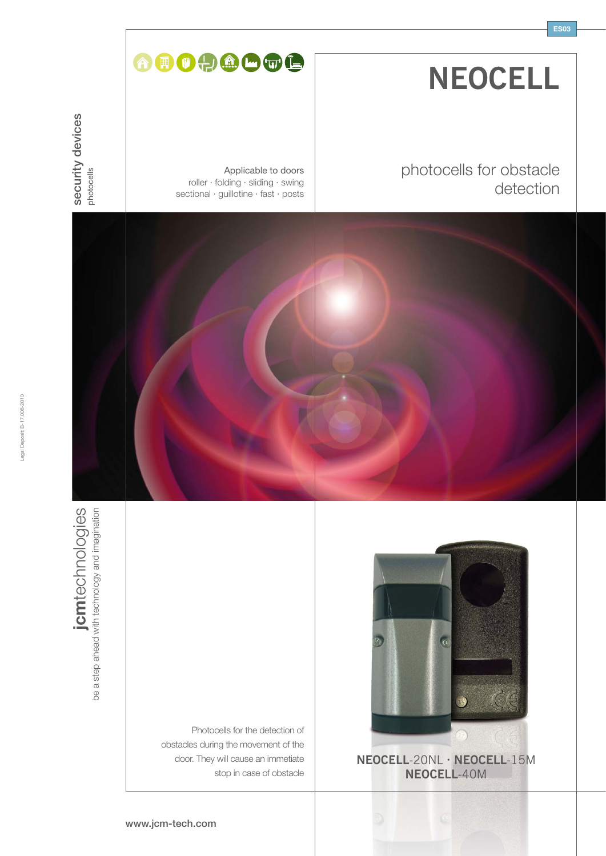| <b>NEOCELL</b> |  |
|----------------|--|
|----------------|--|

**ES03**

# photocells for obstacle detection

Applicable to doors roller · folding · sliding · swing sectional · guillotine · fast · posts

AOOOOOC





Photocells for the detection of obstacles during the movement of the door. They will cause an immetiate stop in case of obstacle



**NEOCELL**-20NL **· NEOCELL**-15M **NEOCELL**-40M